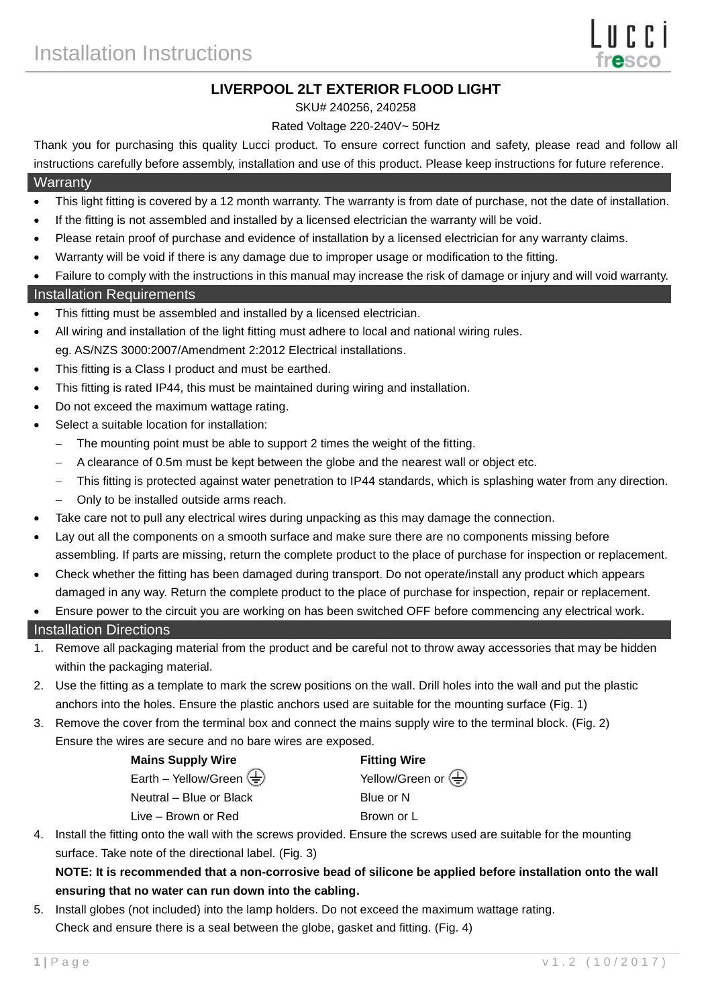# **LIVERPOOL 2LT EXTERIOR FLOOD LIGHT**

#### SKU# 240256, 240258

#### Rated Voltage 220-240V~ 50Hz

Thank you for purchasing this quality Lucci product. To ensure correct function and safety, please read and follow all instructions carefully before assembly, installation and use of this product. Please keep instructions for future reference.

## **Warranty**

- This light fitting is covered by a 12 month warranty. The warranty is from date of purchase, not the date of installation.
- If the fitting is not assembled and installed by a licensed electrician the warranty will be void.
- Please retain proof of purchase and evidence of installation by a licensed electrician for any warranty claims.
- Warranty will be void if there is any damage due to improper usage or modification to the fitting.
- Failure to comply with the instructions in this manual may increase the risk of damage or injury and will void warranty.

## Installation Requirements

- This fitting must be assembled and installed by a licensed electrician.
- All wiring and installation of the light fitting must adhere to local and national wiring rules. eg. AS/NZS 3000:2007/Amendment 2:2012 Electrical installations.
- This fitting is a Class I product and must be earthed.
- This fitting is rated IP44, this must be maintained during wiring and installation.
- Do not exceed the maximum wattage rating.
- Select a suitable location for installation:
	- The mounting point must be able to support 2 times the weight of the fitting.
	- A clearance of 0.5m must be kept between the globe and the nearest wall or object etc.
	- This fitting is protected against water penetration to IP44 standards, which is splashing water from any direction.
	- Only to be installed outside arms reach.
- Take care not to pull any electrical wires during unpacking as this may damage the connection.
- Lay out all the components on a smooth surface and make sure there are no components missing before assembling. If parts are missing, return the complete product to the place of purchase for inspection or replacement.
- Check whether the fitting has been damaged during transport. Do not operate/install any product which appears damaged in any way. Return the complete product to the place of purchase for inspection, repair or replacement.
- Ensure power to the circuit you are working on has been switched OFF before commencing any electrical work.

## Installation Directions

- 1. Remove all packaging material from the product and be careful not to throw away accessories that may be hidden within the packaging material.
- 2. Use the fitting as a template to mark the screw positions on the wall. Drill holes into the wall and put the plastic anchors into the holes. Ensure the plastic anchors used are suitable for the mounting surface (Fig. 1)
- 3. Remove the cover from the terminal box and connect the mains supply wire to the terminal block. (Fig. 2) Ensure the wires are secure and no bare wires are exposed.

| <b>Mains Supply Wire</b>                                  | <b>Fitting Wire</b>                             |
|-----------------------------------------------------------|-------------------------------------------------|
| Earth – Yellow/Green $\left(\frac{\Gamma}{\Gamma}\right)$ | Yellow/Green or $\left(\frac{\Gamma}{n}\right)$ |
| Neutral - Blue or Black                                   | Blue or N                                       |
| Live – Brown or Red                                       | Brown or L                                      |

4. Install the fitting onto the wall with the screws provided. Ensure the screws used are suitable for the mounting surface. Take note of the directional label. (Fig. 3)

# **NOTE: It is recommended that a non-corrosive bead of silicone be applied before installation onto the wall ensuring that no water can run down into the cabling.**

5. Install globes (not included) into the lamp holders. Do not exceed the maximum wattage rating. Check and ensure there is a seal between the globe, gasket and fitting. (Fig. 4)